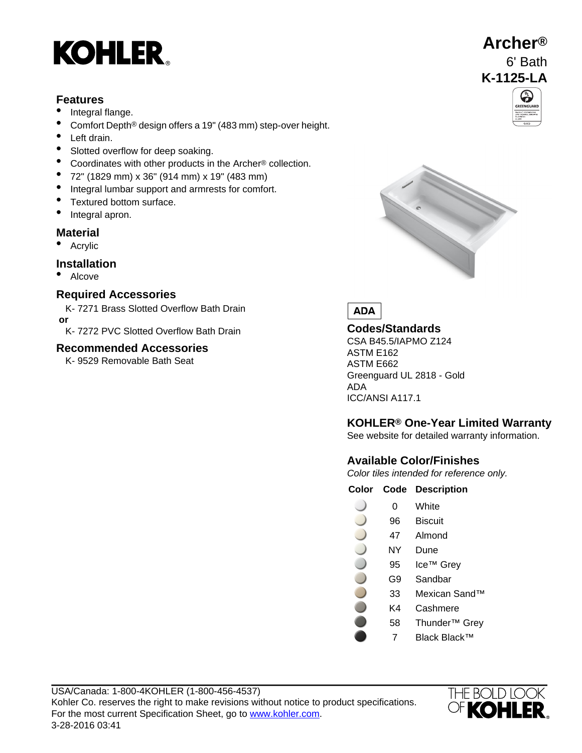

# **Features**

- Integral flange.
- Comfort Depth® design offers a 19" (483 mm) step-over height.
- Left drain.
- Slotted overflow for deep soaking.
- Coordinates with other products in the Archer® collection.
- 72" (1829 mm) x 36" (914 mm) x 19" (483 mm)
- Integral lumbar support and armrests for comfort.
- Textured bottom surface.
- Integral apron.

### **Material**

• Acrylic

### **Installation**

• Alcove

# **Required Accessories**

- K- 7271 Brass Slotted Overflow Bath Drain  **or**
- K- 7272 PVC Slotted Overflow Bath Drain **Codes/Standards**<br>CSA B45.5/IAPMO Z124

### **Recommended Accessories**

K- 9529 Removable Bath Seat









ASTM E162 ASTM E662 Greenguard UL 2818 - Gold ADA ICC/ANSI A117.1

# **KOHLER® One-Year Limited Warranty**

See website for detailed warranty information.

# **Available Color/Finishes**

Color tiles intended for reference only.

### **Color Code Description**

- 0 White
- 96 Biscuit
- 47 Almond
- NY Dune
- 95 Ice™ Grey
- G9 Sandbar
- 33 Mexican Sand™
- K4 Cashmere
- 58 Thunder™ Grey
- 7 Black Black™